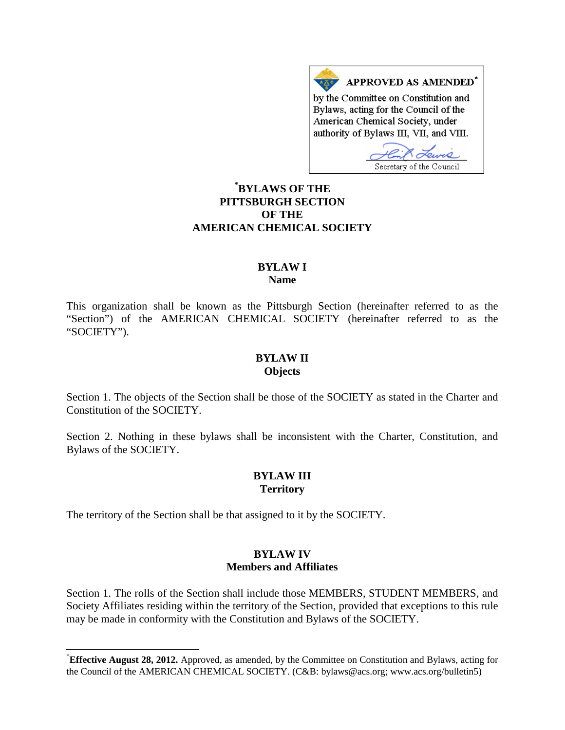APPROVED AS AMENDED<sup>\*</sup> by the Committee on Constitution and Bylaws, acting for the Council of the American Chemical Society, under authority of Bylaws III, VII, and VIII.

Secretary of the Council

# **[\\*](#page-0-0) BYLAWS OF THE PITTSBURGH SECTION OF THE AMERICAN CHEMICAL SOCIETY**

### **BYLAW I Name**

This organization shall be known as the Pittsburgh Section (hereinafter referred to as the "Section") of the AMERICAN CHEMICAL SOCIETY (hereinafter referred to as the "SOCIETY").

#### **BYLAW II Objects**

Section 1. The objects of the Section shall be those of the SOCIETY as stated in the Charter and Constitution of the SOCIETY.

Section 2. Nothing in these bylaws shall be inconsistent with the Charter, Constitution, and Bylaws of the SOCIETY.

### **BYLAW III Territory**

The territory of the Section shall be that assigned to it by the SOCIETY.

## **BYLAW IV Members and Affiliates**

Section 1. The rolls of the Section shall include those MEMBERS, STUDENT MEMBERS, and Society Affiliates residing within the territory of the Section, provided that exceptions to this rule may be made in conformity with the Constitution and Bylaws of the SOCIETY.

<span id="page-0-0"></span><sup>\*</sup>**Effective August 28, 2012.** Approved, as amended, by the Committee on Constitution and Bylaws, acting for the Council of the AMERICAN CHEMICAL SOCIETY. (C&B: bylaws@acs.org; www.acs.org/bulletin5)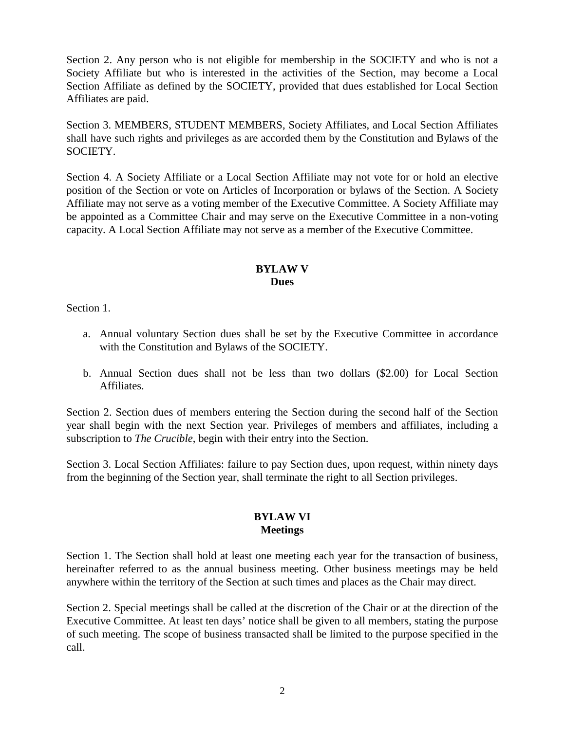Section 2. Any person who is not eligible for membership in the SOCIETY and who is not a Society Affiliate but who is interested in the activities of the Section, may become a Local Section Affiliate as defined by the SOCIETY, provided that dues established for Local Section Affiliates are paid.

Section 3. MEMBERS, STUDENT MEMBERS, Society Affiliates, and Local Section Affiliates shall have such rights and privileges as are accorded them by the Constitution and Bylaws of the SOCIETY.

Section 4. A Society Affiliate or a Local Section Affiliate may not vote for or hold an elective position of the Section or vote on Articles of Incorporation or bylaws of the Section. A Society Affiliate may not serve as a voting member of the Executive Committee. A Society Affiliate may be appointed as a Committee Chair and may serve on the Executive Committee in a non-voting capacity. A Local Section Affiliate may not serve as a member of the Executive Committee.

# **BYLAW V Dues**

Section 1.

- a. Annual voluntary Section dues shall be set by the Executive Committee in accordance with the Constitution and Bylaws of the SOCIETY.
- b. Annual Section dues shall not be less than two dollars (\$2.00) for Local Section Affiliates.

Section 2. Section dues of members entering the Section during the second half of the Section year shall begin with the next Section year. Privileges of members and affiliates, including a subscription to *The Crucible*, begin with their entry into the Section.

Section 3. Local Section Affiliates: failure to pay Section dues, upon request, within ninety days from the beginning of the Section year, shall terminate the right to all Section privileges.

# **BYLAW VI Meetings**

Section 1. The Section shall hold at least one meeting each year for the transaction of business, hereinafter referred to as the annual business meeting. Other business meetings may be held anywhere within the territory of the Section at such times and places as the Chair may direct.

Section 2. Special meetings shall be called at the discretion of the Chair or at the direction of the Executive Committee. At least ten days' notice shall be given to all members, stating the purpose of such meeting. The scope of business transacted shall be limited to the purpose specified in the call.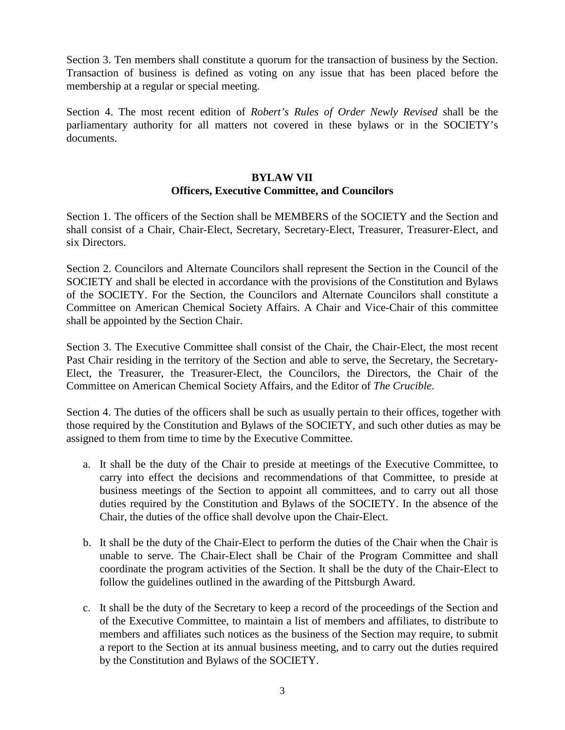Section 3. Ten members shall constitute a quorum for the transaction of business by the Section. Transaction of business is defined as voting on any issue that has been placed before the membership at a regular or special meeting.

Section 4. The most recent edition of *Robert's Rules of Order Newly Revised* shall be the parliamentary authority for all matters not covered in these bylaws or in the SOCIETY's documents.

### **BYLAW VII Officers, Executive Committee, and Councilors**

Section 1. The officers of the Section shall be MEMBERS of the SOCIETY and the Section and shall consist of a Chair, Chair-Elect, Secretary, Secretary-Elect, Treasurer, Treasurer-Elect, and six Directors.

Section 2. Councilors and Alternate Councilors shall represent the Section in the Council of the SOCIETY and shall be elected in accordance with the provisions of the Constitution and Bylaws of the SOCIETY. For the Section, the Councilors and Alternate Councilors shall constitute a Committee on American Chemical Society Affairs. A Chair and Vice-Chair of this committee shall be appointed by the Section Chair.

Section 3. The Executive Committee shall consist of the Chair, the Chair-Elect, the most recent Past Chair residing in the territory of the Section and able to serve, the Secretary, the Secretary-Elect, the Treasurer, the Treasurer-Elect, the Councilors, the Directors, the Chair of the Committee on American Chemical Society Affairs, and the Editor of *The Crucible*.

Section 4. The duties of the officers shall be such as usually pertain to their offices, together with those required by the Constitution and Bylaws of the SOCIETY, and such other duties as may be assigned to them from time to time by the Executive Committee.

- a. It shall be the duty of the Chair to preside at meetings of the Executive Committee, to carry into effect the decisions and recommendations of that Committee, to preside at business meetings of the Section to appoint all committees, and to carry out all those duties required by the Constitution and Bylaws of the SOCIETY. In the absence of the Chair, the duties of the office shall devolve upon the Chair-Elect.
- b. It shall be the duty of the Chair-Elect to perform the duties of the Chair when the Chair is unable to serve. The Chair-Elect shall be Chair of the Program Committee and shall coordinate the program activities of the Section. It shall be the duty of the Chair-Elect to follow the guidelines outlined in the awarding of the Pittsburgh Award.
- c. It shall be the duty of the Secretary to keep a record of the proceedings of the Section and of the Executive Committee, to maintain a list of members and affiliates, to distribute to members and affiliates such notices as the business of the Section may require, to submit a report to the Section at its annual business meeting, and to carry out the duties required by the Constitution and Bylaws of the SOCIETY.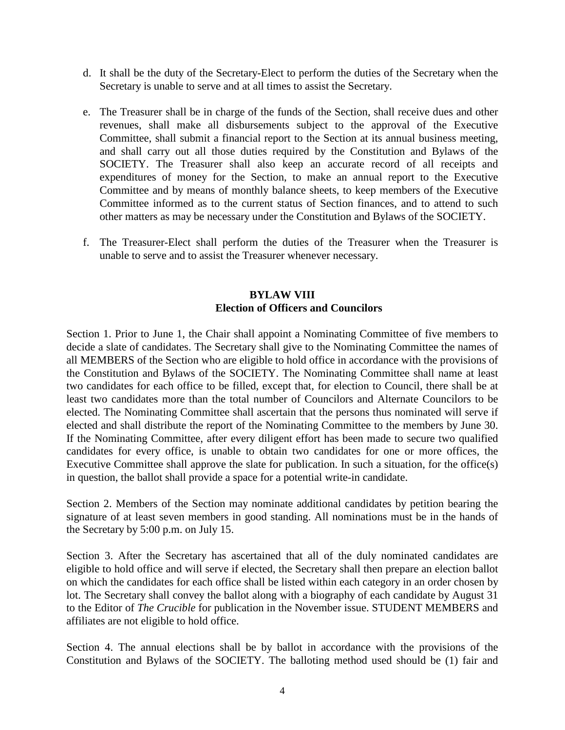- d. It shall be the duty of the Secretary-Elect to perform the duties of the Secretary when the Secretary is unable to serve and at all times to assist the Secretary.
- e. The Treasurer shall be in charge of the funds of the Section, shall receive dues and other revenues, shall make all disbursements subject to the approval of the Executive Committee, shall submit a financial report to the Section at its annual business meeting, and shall carry out all those duties required by the Constitution and Bylaws of the SOCIETY. The Treasurer shall also keep an accurate record of all receipts and expenditures of money for the Section, to make an annual report to the Executive Committee and by means of monthly balance sheets, to keep members of the Executive Committee informed as to the current status of Section finances, and to attend to such other matters as may be necessary under the Constitution and Bylaws of the SOCIETY.
- f. The Treasurer-Elect shall perform the duties of the Treasurer when the Treasurer is unable to serve and to assist the Treasurer whenever necessary.

## **BYLAW VIII Election of Officers and Councilors**

Section 1. Prior to June 1, the Chair shall appoint a Nominating Committee of five members to decide a slate of candidates. The Secretary shall give to the Nominating Committee the names of all MEMBERS of the Section who are eligible to hold office in accordance with the provisions of the Constitution and Bylaws of the SOCIETY. The Nominating Committee shall name at least two candidates for each office to be filled, except that, for election to Council, there shall be at least two candidates more than the total number of Councilors and Alternate Councilors to be elected. The Nominating Committee shall ascertain that the persons thus nominated will serve if elected and shall distribute the report of the Nominating Committee to the members by June 30. If the Nominating Committee, after every diligent effort has been made to secure two qualified candidates for every office, is unable to obtain two candidates for one or more offices, the Executive Committee shall approve the slate for publication. In such a situation, for the office(s) in question, the ballot shall provide a space for a potential write-in candidate.

Section 2. Members of the Section may nominate additional candidates by petition bearing the signature of at least seven members in good standing. All nominations must be in the hands of the Secretary by 5:00 p.m. on July 15.

Section 3. After the Secretary has ascertained that all of the duly nominated candidates are eligible to hold office and will serve if elected, the Secretary shall then prepare an election ballot on which the candidates for each office shall be listed within each category in an order chosen by lot. The Secretary shall convey the ballot along with a biography of each candidate by August 31 to the Editor of *The Crucible* for publication in the November issue. STUDENT MEMBERS and affiliates are not eligible to hold office.

Section 4. The annual elections shall be by ballot in accordance with the provisions of the Constitution and Bylaws of the SOCIETY. The balloting method used should be (1) fair and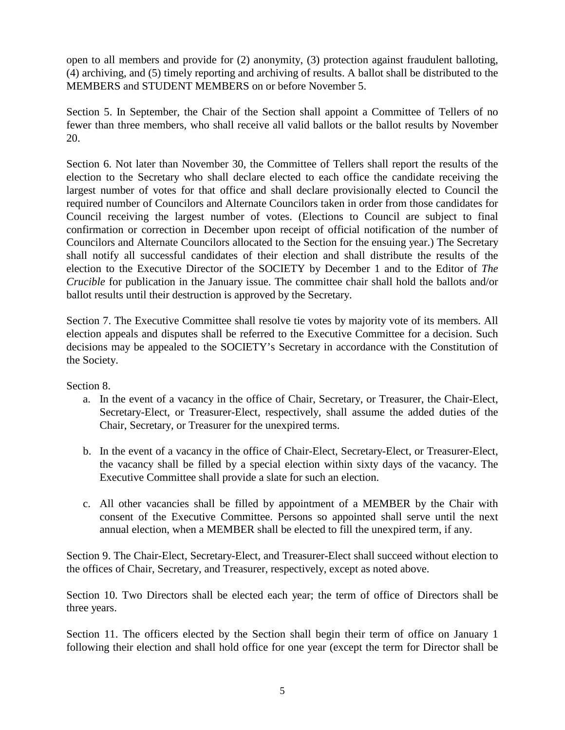open to all members and provide for (2) anonymity, (3) protection against fraudulent balloting, (4) archiving, and (5) timely reporting and archiving of results. A ballot shall be distributed to the MEMBERS and STUDENT MEMBERS on or before November 5.

Section 5. In September, the Chair of the Section shall appoint a Committee of Tellers of no fewer than three members, who shall receive all valid ballots or the ballot results by November 20.

Section 6. Not later than November 30, the Committee of Tellers shall report the results of the election to the Secretary who shall declare elected to each office the candidate receiving the largest number of votes for that office and shall declare provisionally elected to Council the required number of Councilors and Alternate Councilors taken in order from those candidates for Council receiving the largest number of votes. (Elections to Council are subject to final confirmation or correction in December upon receipt of official notification of the number of Councilors and Alternate Councilors allocated to the Section for the ensuing year.) The Secretary shall notify all successful candidates of their election and shall distribute the results of the election to the Executive Director of the SOCIETY by December 1 and to the Editor of *The Crucible* for publication in the January issue. The committee chair shall hold the ballots and/or ballot results until their destruction is approved by the Secretary.

Section 7. The Executive Committee shall resolve tie votes by majority vote of its members. All election appeals and disputes shall be referred to the Executive Committee for a decision. Such decisions may be appealed to the SOCIETY's Secretary in accordance with the Constitution of the Society.

Section 8.

- a. In the event of a vacancy in the office of Chair, Secretary, or Treasurer, the Chair-Elect, Secretary-Elect, or Treasurer-Elect, respectively, shall assume the added duties of the Chair, Secretary, or Treasurer for the unexpired terms.
- b. In the event of a vacancy in the office of Chair-Elect, Secretary-Elect, or Treasurer-Elect, the vacancy shall be filled by a special election within sixty days of the vacancy. The Executive Committee shall provide a slate for such an election.
- c. All other vacancies shall be filled by appointment of a MEMBER by the Chair with consent of the Executive Committee. Persons so appointed shall serve until the next annual election, when a MEMBER shall be elected to fill the unexpired term, if any.

Section 9. The Chair-Elect, Secretary-Elect, and Treasurer-Elect shall succeed without election to the offices of Chair, Secretary, and Treasurer, respectively, except as noted above.

Section 10. Two Directors shall be elected each year; the term of office of Directors shall be three years.

Section 11. The officers elected by the Section shall begin their term of office on January 1 following their election and shall hold office for one year (except the term for Director shall be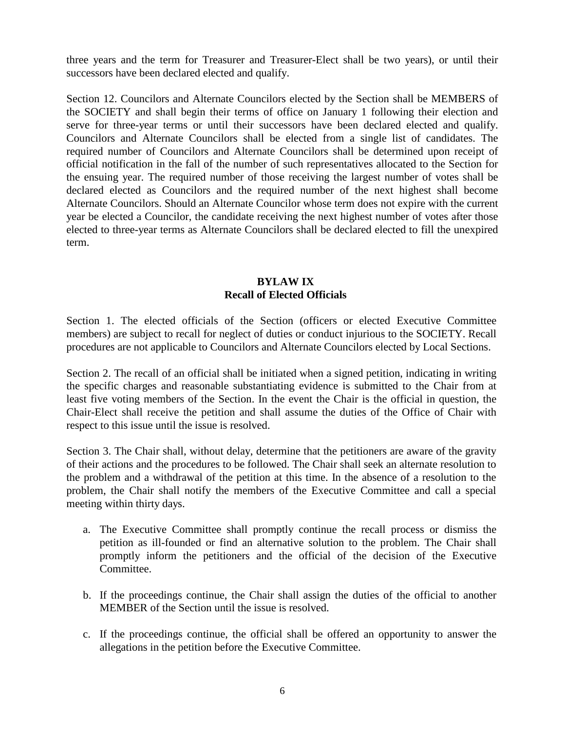three years and the term for Treasurer and Treasurer-Elect shall be two years), or until their successors have been declared elected and qualify.

Section 12. Councilors and Alternate Councilors elected by the Section shall be MEMBERS of the SOCIETY and shall begin their terms of office on January 1 following their election and serve for three-year terms or until their successors have been declared elected and qualify. Councilors and Alternate Councilors shall be elected from a single list of candidates. The required number of Councilors and Alternate Councilors shall be determined upon receipt of official notification in the fall of the number of such representatives allocated to the Section for the ensuing year. The required number of those receiving the largest number of votes shall be declared elected as Councilors and the required number of the next highest shall become Alternate Councilors. Should an Alternate Councilor whose term does not expire with the current year be elected a Councilor, the candidate receiving the next highest number of votes after those elected to three-year terms as Alternate Councilors shall be declared elected to fill the unexpired term.

### **BYLAW IX Recall of Elected Officials**

Section 1. The elected officials of the Section (officers or elected Executive Committee members) are subject to recall for neglect of duties or conduct injurious to the SOCIETY. Recall procedures are not applicable to Councilors and Alternate Councilors elected by Local Sections.

Section 2. The recall of an official shall be initiated when a signed petition, indicating in writing the specific charges and reasonable substantiating evidence is submitted to the Chair from at least five voting members of the Section. In the event the Chair is the official in question, the Chair-Elect shall receive the petition and shall assume the duties of the Office of Chair with respect to this issue until the issue is resolved.

Section 3. The Chair shall, without delay, determine that the petitioners are aware of the gravity of their actions and the procedures to be followed. The Chair shall seek an alternate resolution to the problem and a withdrawal of the petition at this time. In the absence of a resolution to the problem, the Chair shall notify the members of the Executive Committee and call a special meeting within thirty days.

- a. The Executive Committee shall promptly continue the recall process or dismiss the petition as ill-founded or find an alternative solution to the problem. The Chair shall promptly inform the petitioners and the official of the decision of the Executive Committee.
- b. If the proceedings continue, the Chair shall assign the duties of the official to another MEMBER of the Section until the issue is resolved.
- c. If the proceedings continue, the official shall be offered an opportunity to answer the allegations in the petition before the Executive Committee.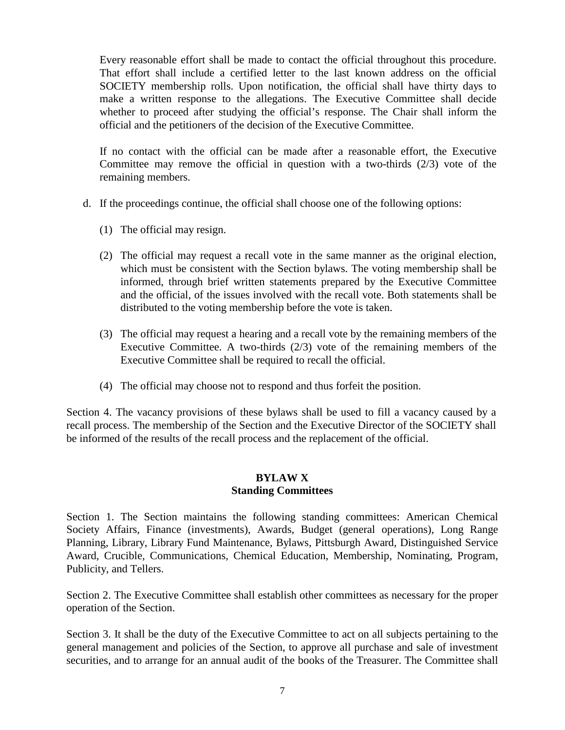Every reasonable effort shall be made to contact the official throughout this procedure. That effort shall include a certified letter to the last known address on the official SOCIETY membership rolls. Upon notification, the official shall have thirty days to make a written response to the allegations. The Executive Committee shall decide whether to proceed after studying the official's response. The Chair shall inform the official and the petitioners of the decision of the Executive Committee.

If no contact with the official can be made after a reasonable effort, the Executive Committee may remove the official in question with a two-thirds (2/3) vote of the remaining members.

- d. If the proceedings continue, the official shall choose one of the following options:
	- (1) The official may resign.
	- (2) The official may request a recall vote in the same manner as the original election, which must be consistent with the Section bylaws. The voting membership shall be informed, through brief written statements prepared by the Executive Committee and the official, of the issues involved with the recall vote. Both statements shall be distributed to the voting membership before the vote is taken.
	- (3) The official may request a hearing and a recall vote by the remaining members of the Executive Committee. A two-thirds (2/3) vote of the remaining members of the Executive Committee shall be required to recall the official.
	- (4) The official may choose not to respond and thus forfeit the position.

Section 4. The vacancy provisions of these bylaws shall be used to fill a vacancy caused by a recall process. The membership of the Section and the Executive Director of the SOCIETY shall be informed of the results of the recall process and the replacement of the official.

## **BYLAW X Standing Committees**

Section 1. The Section maintains the following standing committees: American Chemical Society Affairs, Finance (investments), Awards, Budget (general operations), Long Range Planning, Library, Library Fund Maintenance, Bylaws, Pittsburgh Award, Distinguished Service Award, Crucible, Communications, Chemical Education, Membership, Nominating, Program, Publicity, and Tellers.

Section 2. The Executive Committee shall establish other committees as necessary for the proper operation of the Section.

Section 3. It shall be the duty of the Executive Committee to act on all subjects pertaining to the general management and policies of the Section, to approve all purchase and sale of investment securities, and to arrange for an annual audit of the books of the Treasurer. The Committee shall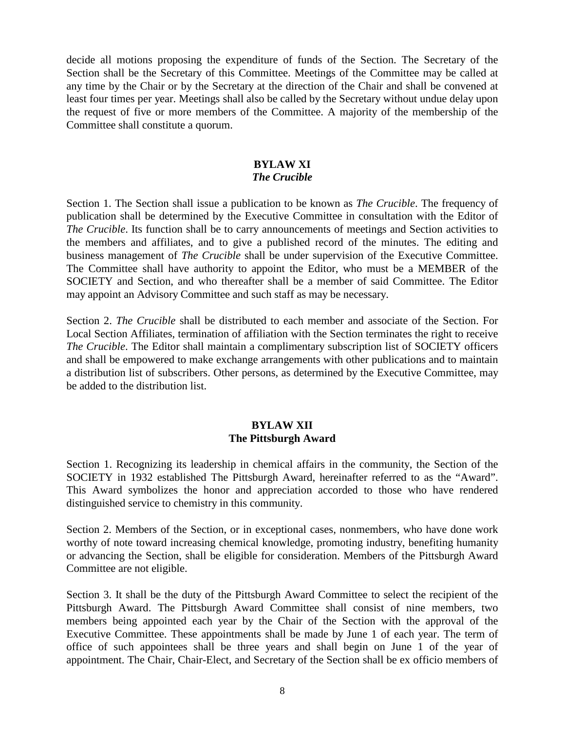decide all motions proposing the expenditure of funds of the Section. The Secretary of the Section shall be the Secretary of this Committee. Meetings of the Committee may be called at any time by the Chair or by the Secretary at the direction of the Chair and shall be convened at least four times per year. Meetings shall also be called by the Secretary without undue delay upon the request of five or more members of the Committee. A majority of the membership of the Committee shall constitute a quorum.

### **BYLAW XI** *The Crucible*

Section 1. The Section shall issue a publication to be known as *The Crucible*. The frequency of publication shall be determined by the Executive Committee in consultation with the Editor of *The Crucible*. Its function shall be to carry announcements of meetings and Section activities to the members and affiliates, and to give a published record of the minutes. The editing and business management of *The Crucible* shall be under supervision of the Executive Committee. The Committee shall have authority to appoint the Editor, who must be a MEMBER of the SOCIETY and Section, and who thereafter shall be a member of said Committee. The Editor may appoint an Advisory Committee and such staff as may be necessary.

Section 2. *The Crucible* shall be distributed to each member and associate of the Section. For Local Section Affiliates, termination of affiliation with the Section terminates the right to receive *The Crucible*. The Editor shall maintain a complimentary subscription list of SOCIETY officers and shall be empowered to make exchange arrangements with other publications and to maintain a distribution list of subscribers. Other persons, as determined by the Executive Committee, may be added to the distribution list.

# **BYLAW XII The Pittsburgh Award**

Section 1. Recognizing its leadership in chemical affairs in the community, the Section of the SOCIETY in 1932 established The Pittsburgh Award, hereinafter referred to as the "Award". This Award symbolizes the honor and appreciation accorded to those who have rendered distinguished service to chemistry in this community.

Section 2. Members of the Section, or in exceptional cases, nonmembers, who have done work worthy of note toward increasing chemical knowledge, promoting industry, benefiting humanity or advancing the Section, shall be eligible for consideration. Members of the Pittsburgh Award Committee are not eligible.

Section 3. It shall be the duty of the Pittsburgh Award Committee to select the recipient of the Pittsburgh Award. The Pittsburgh Award Committee shall consist of nine members, two members being appointed each year by the Chair of the Section with the approval of the Executive Committee. These appointments shall be made by June 1 of each year. The term of office of such appointees shall be three years and shall begin on June 1 of the year of appointment. The Chair, Chair-Elect, and Secretary of the Section shall be ex officio members of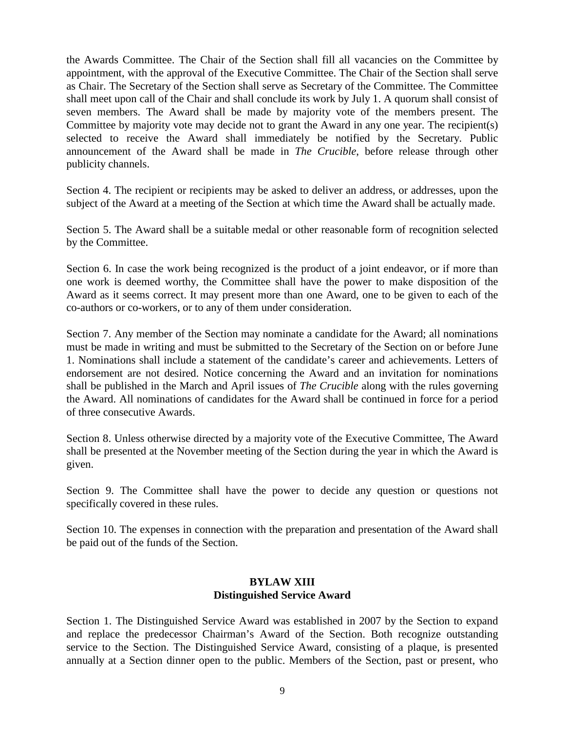the Awards Committee. The Chair of the Section shall fill all vacancies on the Committee by appointment, with the approval of the Executive Committee. The Chair of the Section shall serve as Chair. The Secretary of the Section shall serve as Secretary of the Committee. The Committee shall meet upon call of the Chair and shall conclude its work by July 1. A quorum shall consist of seven members. The Award shall be made by majority vote of the members present. The Committee by majority vote may decide not to grant the Award in any one year. The recipient(s) selected to receive the Award shall immediately be notified by the Secretary. Public announcement of the Award shall be made in *The Crucible*, before release through other publicity channels.

Section 4. The recipient or recipients may be asked to deliver an address, or addresses, upon the subject of the Award at a meeting of the Section at which time the Award shall be actually made.

Section 5. The Award shall be a suitable medal or other reasonable form of recognition selected by the Committee.

Section 6. In case the work being recognized is the product of a joint endeavor, or if more than one work is deemed worthy, the Committee shall have the power to make disposition of the Award as it seems correct. It may present more than one Award, one to be given to each of the co-authors or co-workers, or to any of them under consideration.

Section 7. Any member of the Section may nominate a candidate for the Award; all nominations must be made in writing and must be submitted to the Secretary of the Section on or before June 1. Nominations shall include a statement of the candidate's career and achievements. Letters of endorsement are not desired. Notice concerning the Award and an invitation for nominations shall be published in the March and April issues of *The Crucible* along with the rules governing the Award. All nominations of candidates for the Award shall be continued in force for a period of three consecutive Awards.

Section 8. Unless otherwise directed by a majority vote of the Executive Committee, The Award shall be presented at the November meeting of the Section during the year in which the Award is given.

Section 9. The Committee shall have the power to decide any question or questions not specifically covered in these rules.

Section 10. The expenses in connection with the preparation and presentation of the Award shall be paid out of the funds of the Section.

### **BYLAW XIII Distinguished Service Award**

Section 1. The Distinguished Service Award was established in 2007 by the Section to expand and replace the predecessor Chairman's Award of the Section. Both recognize outstanding service to the Section. The Distinguished Service Award, consisting of a plaque, is presented annually at a Section dinner open to the public. Members of the Section, past or present, who